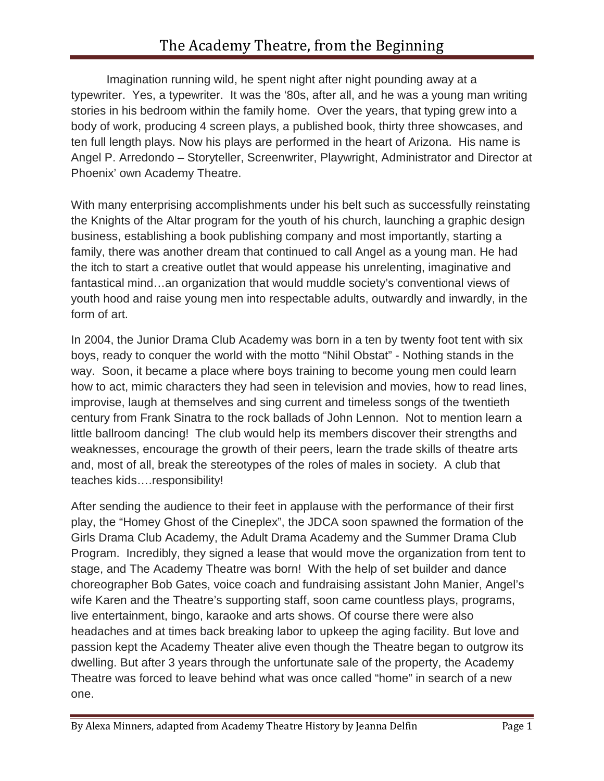Imagination running wild, he spent night after night pounding away at a typewriter. Yes, a typewriter. It was the '80s, after all, and he was a young man writing stories in his bedroom within the family home. Over the years, that typing grew into a body of work, producing 4 screen plays, a published book, thirty three showcases, and ten full length plays. Now his plays are performed in the heart of Arizona. His name is Angel P. Arredondo – Storyteller, Screenwriter, Playwright, Administrator and Director at Phoenix' own Academy Theatre.

With many enterprising accomplishments under his belt such as successfully reinstating the Knights of the Altar program for the youth of his church, launching a graphic design business, establishing a book publishing company and most importantly, starting a family, there was another dream that continued to call Angel as a young man. He had the itch to start a creative outlet that would appease his unrelenting, imaginative and fantastical mind…an organization that would muddle society's conventional views of youth hood and raise young men into respectable adults, outwardly and inwardly, in the form of art.

In 2004, the Junior Drama Club Academy was born in a ten by twenty foot tent with six boys, ready to conquer the world with the motto "Nihil Obstat" - Nothing stands in the way. Soon, it became a place where boys training to become young men could learn how to act, mimic characters they had seen in television and movies, how to read lines, improvise, laugh at themselves and sing current and timeless songs of the twentieth century from Frank Sinatra to the rock ballads of John Lennon. Not to mention learn a little ballroom dancing! The club would help its members discover their strengths and weaknesses, encourage the growth of their peers, learn the trade skills of theatre arts and, most of all, break the stereotypes of the roles of males in society. A club that teaches kids….responsibility!

After sending the audience to their feet in applause with the performance of their first play, the "Homey Ghost of the Cineplex", the JDCA soon spawned the formation of the Girls Drama Club Academy, the Adult Drama Academy and the Summer Drama Club Program. Incredibly, they signed a lease that would move the organization from tent to stage, and The Academy Theatre was born! With the help of set builder and dance choreographer Bob Gates, voice coach and fundraising assistant John Manier, Angel's wife Karen and the Theatre's supporting staff, soon came countless plays, programs, live entertainment, bingo, karaoke and arts shows. Of course there were also headaches and at times back breaking labor to upkeep the aging facility. But love and passion kept the Academy Theater alive even though the Theatre began to outgrow its dwelling. But after 3 years through the unfortunate sale of the property, the Academy Theatre was forced to leave behind what was once called "home" in search of a new one.